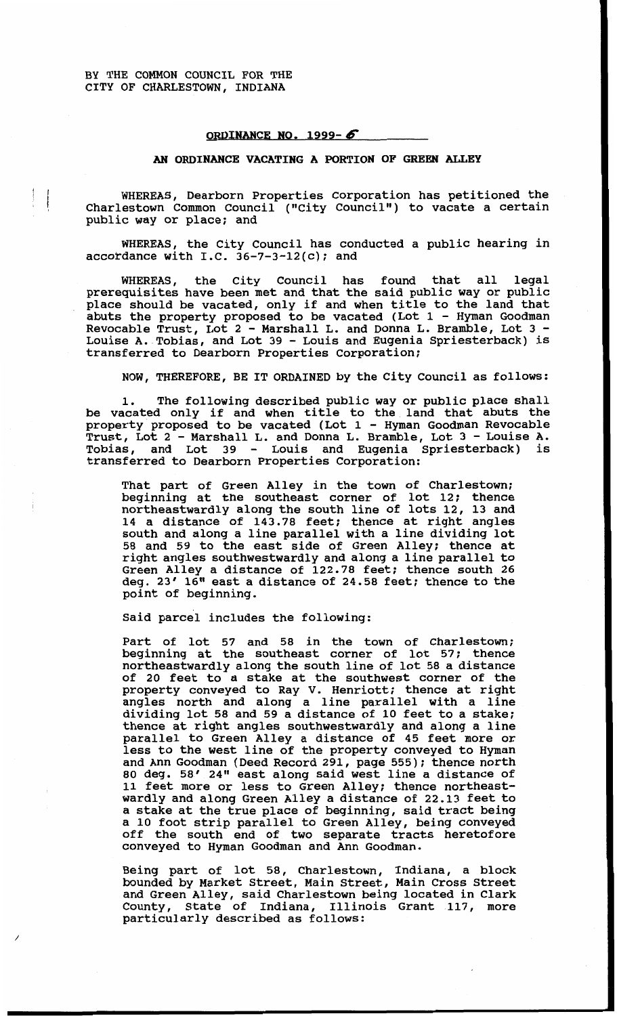## **ORDINANCE NO** . **1999-6**

## *AN* **ORDINANCE VACATING A PORTION OF GREEN ALLEY**

WHEREAS, Dearborn Properties Corporation has petitioned the Charlestown Common Council ("City Council") to vacate a certain public way or place; and

WHEREAS, the City Council has conducted a public hearing in accordance with I.C. **36-7-3-12(c);** and

WHEREAS, the City Council has found that all legal prerequisites have been met and that the said public way or public place should be vacated, only if and when title to the land that abuts the property proposed to be vacated (Lot **1** - Hyman Goodman Revocable Trust, Lot **2** - Marshall L. and Donna L. Bramble, Lot **3** - Louise A. Tobias, and Lot **39** - Louis and Eugenia Spriesterback) is transferred to Dearborn Properties Corporation;

NOW, THEREFORE, BE IT ORDAINED by the City Council as follows:

**1.** The following described public way or public place shall be vacated only if and when title to the land that abuts the property proposed to be vacated (Lot 1 - Hyman Goodman Revocable Trust, Lot **2** - Marshall L. and Donna L. Bramble, Lot **3** - Louise A. Tobias, and Lot **39** - Louis and Eugenia Spriesterback) is transferred to Dearborn Properties Corporation:

That part of Green Alley in the town of Charlestown; beginning at the southeast corner of lot **12;** thence northeastwardly along the south line of lots 12, **13** and **14** a distance of **143.78** feet; thence at right angles south and along a line parallel with a line dividing lot **58** and **59** to the east side of Green Alley; thence at right angles southwestwardly and along a line parallel to Green Alley a distance of **122.78** feet; thence south **26**  deg. **23' 16"** east a distance of **24.58** feet; thence to the point of beginning.

Said parcel includes the following:

Part of lot **57** and **58** in the town of Charlestown; beginning at the southeast corner of lot **57;** thence northeastwardly along the south line of lot **58** a distance of **20** feet to a stake at the southwest corner of the property conveyed to Ray V. Henriott; thence at right angles north and along a line parallel with a line dividing lot **58** and **59** a distance of **10** feet to a stake; thence at right angles southwestwardly and along a line parallel to Green Alley a distance of **45** feet more or less to the west line of the property conveyed to Hyman and Ann Goodman (Deed Record **291,** page **555)** ; thence north **80** deg. **58' 24"** east along said west line a distance of **11** feet more or less to Green Alley; thence northeastwardly and along Green Alley a distance of **22.13** feet to a stake at the true place of beginning, said tract being a **10** foot strip parallel to Green Alley, being conveyed off the south end of two separate tracts heretofore conveyed to Hyman Goodman and Ann Goodman.

Being part of lot **58,** Charlestown, Indiana, a block bounded by Market Street, Main Street, Main Cross Street and Green Alley, said Charlestown being located in Clark County, State of Indiana, Illinois Grant **117,** more particularly described as follows: